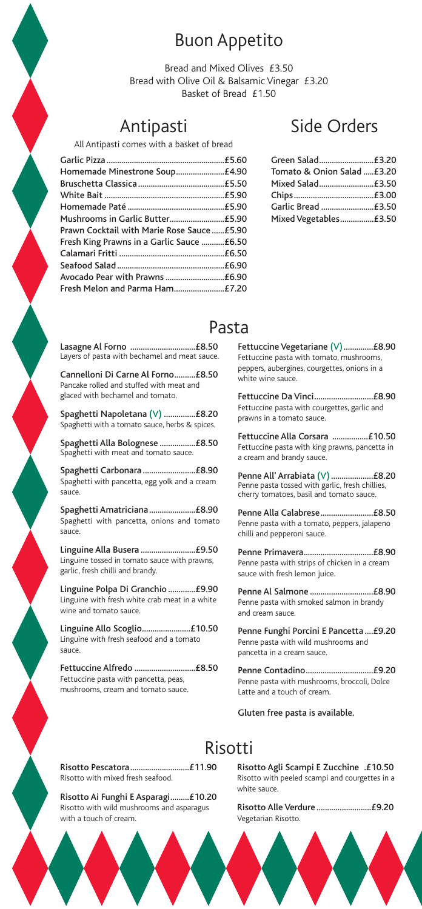### Buon Appetito

Bread and Mixed Olives £3.50 Bread with Olive Oil & Balsamic Vinegar £3.20 Basket of Bread £1.50

### Antipasti

All Antipasti comes with a basket of bread

| Homemade Minestrone Soup£4.90              |  |
|--------------------------------------------|--|
|                                            |  |
|                                            |  |
|                                            |  |
|                                            |  |
| Prawn Cocktail with Marie Rose Sauce £5.90 |  |
| Fresh King Prawns in a Garlic Sauce £6.50  |  |
|                                            |  |
|                                            |  |
|                                            |  |
| Fresh Melon and Parma Ham£7.20             |  |
|                                            |  |

### Side Orders

| Green Salad£3.20           |  |
|----------------------------|--|
| Tomato & Onion Salad £3.20 |  |
| Mixed Salad£3.50           |  |
|                            |  |
| Garlic Bread £3.50         |  |
| Mixed Vegetables£3.50      |  |
|                            |  |

### Pasta

Lasagne Al Forno ...............................£8.50 Layers of pasta with bechamel and meat sauce.

Cannelloni Di Carne Al Forno..........£8.50 Pancake rolled and stuffed with meat and glaced with bechamel and tomato.

Spaghetti Napoletana (V) ...............£8.20 Spaghetti with a tomato sauce, herbs & spices.

Spaghetti Alla Bolognese .................£8.50 Spaghetti with meat and tomato sauce.

Spaghetti Carbonara .........................£8.90 Spaghetti with pancetta, egg yolk and a cream sauce.

Spaghetti Amatriciana......................£8.90 Spaghetti with pancetta, onions and tomato sauce.

Linguine Alla Busera ..........................£9.50 Linguine tossed in tomato sauce with prawns, garlic, fresh chilli and brandy.

Linguine Polpa Di Granchio .............£9.90 Linguine with fresh white crab meat in a white wine and tomato sauce.

Linguine Allo Scoglio.......................£10.50 Linguine with fresh seafood and a tomato sauce.

Fettuccine Alfredo .............................£8.50 Fettuccine pasta with pancetta, peas, mushrooms, cream and tomato sauce.

Fettuccine Vegetariane (V)..............£8.90 Fettuccine pasta with tomato, mushrooms, peppers, aubergines, courgettes, onions in a white wine sauce.

Fettuccine Da Vinci............................£8.90 Fettuccine pasta with courgettes, garlic and prawns in a tomato sauce.

Fettuccine Alla Corsara .................£10.50 Fettuccine pasta with king prawns, pancetta in a cream and brandy sauce.

Penne All' Arrabiata (V)....................£8.20 Penne pasta tossed with garlic, fresh chillies, cherry tomatoes, basil and tomato sauce.

Penne Alla Calabrese.........................£8.50 Penne pasta with a tomato, peppers, jalapeno chilli and pepperoni sauce.

Penne Primavera.................................£8.90 Penne pasta with strips of chicken in a cream sauce with fresh lemon juice.

Penne Al Salmone ..............................£8.90 Penne pasta with smoked salmon in brandy and cream sauce.

Penne Funghi Porcini E Pancetta ....£9.20 Penne pasta with wild mushrooms and pancetta in a cream sauce.

Penne Contadino................................£9.20 Penne pasta with mushrooms, broccoli, Dolce Latte and a touch of cream.

Gluten free pasta is available.

### Risotti

Risotto Pescatora............................£11.90 Risotto with mixed fresh seafood.

Risotto Ai Funghi E Asparagi.........£10.20 Risotto with wild mushrooms and asparagus with a touch of cream.

Risotto Agli Scampi E Zucchine .£10.50 Risotto with peeled scampi and courgettes in a white sauce.

Risotto Alle Verdure ..........................£9.20 Vegetarian Risotto.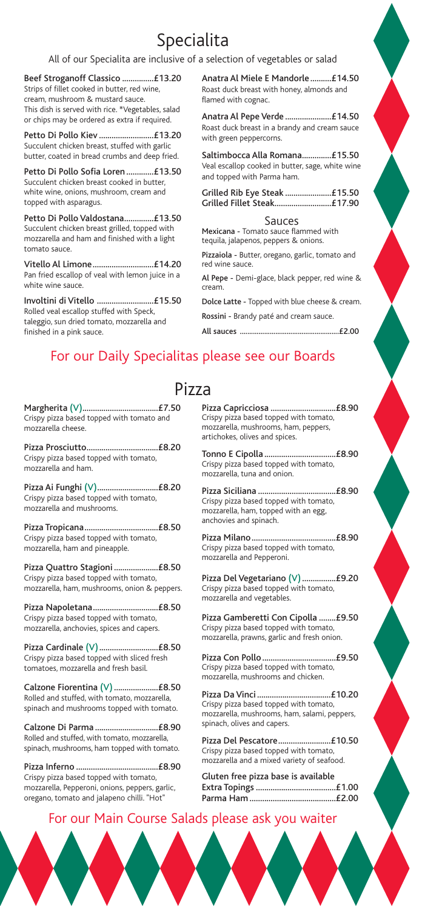# Specialita

#### All of our Specialita are inclusive of a selection of vegetables or salad

Beef Stroganoff Classico ...............£13.20 Strips of fillet cooked in butter, red wine, cream, mushroom & mustard sauce. This dish is served with rice. \*Vegetables, salad or chips may be ordered as extra if required.

Petto Di Pollo Kiev ..........................£13.20 Succulent chicken breast, stuffed with garlic butter, coated in bread crumbs and deep fried.

Petto Di Pollo Sofia Loren .............£13.50 Succulent chicken breast cooked in butter, white wine, onions, mushroom, cream and topped with asparagus.

Petto Di Pollo Valdostana..............£13.50 Succulent chicken breast grilled, topped with mozzarella and ham and finished with a light tomato sauce.

Vitello Al Limone.............................£14.20 Pan fried escallop of veal with lemon juice in a white wine sauce.

Involtini di Vitello ...........................£15.50 Rolled veal escallop stuffed with Speck, taleggio, sun dried tomato, mozzarella and finished in a pink sauce.

Anatra Al Miele E Mandorle..........£14.50 Roast duck breast with honey, almonds and flamed with cognac.

Anatra Al Pepe Verde ......................£14.50 Roast duck breast in a brandy and cream sauce with green peppercorns.

Saltimbocca Alla Romana..............£15.50 Veal escallop cooked in butter, sage, white wine and topped with Parma ham.

Sauces

Mexicana - Tomato sauce flammed with tequila, jalapenos, peppers & onions.

Pizzaiola - Butter, oregano, garlic, tomato and red wine sauce.

Al Pepe - Demi-glace, black pepper, red wine & cream.

Dolce Latte - Topped with blue cheese & cream. Rossini - Brandy paté and cream sauce.

All sauces .....................................................£2.00

### For our Daily Specialitas please see our Boards

#### Pizza

Margherita (V)....................................£7.50 Crispy pizza based topped with tomato and mozzarella cheese.

Pizza Prosciutto..................................£8.20 Crispy pizza based topped with tomato, mozzarella and ham.

Pizza Ai Funghi (V).............................£8.20 Crispy pizza based topped with tomato, mozzarella and mushrooms.

Pizza Tropicana...................................£8.50 Crispy pizza based topped with tomato, mozzarella, ham and pineapple.

Pizza Quattro Stagioni .....................£8.50 Crispy pizza based topped with tomato, mozzarella, ham, mushrooms, onion & peppers.

Pizza Napoletana...............................£8.50 Crispy pizza based topped with tomato, mozzarella, anchovies, spices and capers.

Pizza Cardinale (V)............................£8.50 Crispy pizza based topped with sliced fresh tomatoes, mozzarella and fresh basil.

Calzone Fiorentina (V).....................£8.50 Rolled and stuffed, with tomato, mozzarella, spinach and mushrooms topped with tomato.

Calzone Di Parma ..............................£8.90 Rolled and stuffed, with tomato, mozzarella, spinach, mushrooms, ham topped with tomato.

Pizza Inferno .......................................£8.90 Crispy pizza based topped with tomato, mozzarella, Pepperoni, onions, peppers, garlic, oregano, tomato and jalapeno chilli. "Hot"

Pizza Capricciosa ...............................£8.90 Crispy pizza based topped with tomato, mozzarella, mushrooms, ham, peppers, artichokes, olives and spices.

Tonno E Cipolla ..................................£8.90 Crispy pizza based topped with tomato, mozzarella, tuna and onion.

Pizza Siciliana .....................................£8.90 Crispy pizza based topped with tomato, mozzarella, ham, topped with an egg, anchovies and spinach.

Pizza Milano........................................£8.90 Crispy pizza based topped with tomato, mozzarella and Pepperoni.

Pizza Del Vegetariano (V)................£9.20 Crispy pizza based topped with tomato, mozzarella and vegetables.

Pizza Gamberetti Con Cipolla ........£9.50 Crispy pizza based topped with tomato, mozzarella, prawns, garlic and fresh onion.

Pizza Con Pollo...................................£9.50 Crispy pizza based topped with tomato, mozzarella, mushrooms and chicken.

Pizza Da Vinci ...................................£10.20 Crispy pizza based topped with tomato, mozzarella, mushrooms, ham, salami, peppers, spinach, olives and capers.

Pizza Del Pescatore.........................£10.50 Crispy pizza based topped with tomato, mozzarella and a mixed variety of seafood.

Gluten free pizza base is available Extra Topings ......................................£1.00 Parma Ham .........................................£2.00

#### For our Main Course Salads please ask you waiter